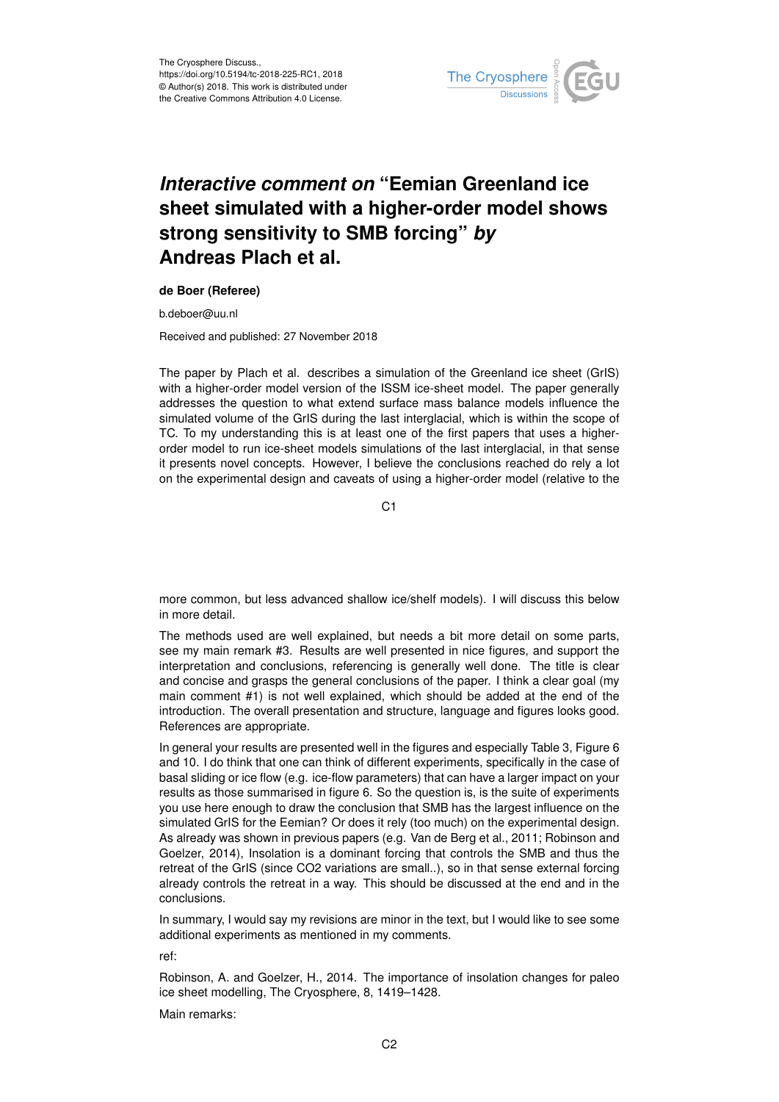

# *Interactive comment on* **"Eemian Greenland ice sheet simulated with a higher-order model shows strong sensitivity to SMB forcing"** *by* **Andreas Plach et al.**

#### **de Boer (Referee)**

b.deboer@uu.nl

Received and published: 27 November 2018

The paper by Plach et al. describes a simulation of the Greenland ice sheet (GrIS) with a higher-order model version of the ISSM ice-sheet model. The paper generally addresses the question to what extend surface mass balance models influence the simulated volume of the GrIS during the last interglacial, which is within the scope of TC. To my understanding this is at least one of the first papers that uses a higherorder model to run ice-sheet models simulations of the last interglacial, in that sense it presents novel concepts. However, I believe the conclusions reached do rely a lot on the experimental design and caveats of using a higher-order model (relative to the

C1

more common, but less advanced shallow ice/shelf models). I will discuss this below in more detail.

The methods used are well explained, but needs a bit more detail on some parts, see my main remark #3. Results are well presented in nice figures, and support the interpretation and conclusions, referencing is generally well done. The title is clear and concise and grasps the general conclusions of the paper. I think a clear goal (my main comment #1) is not well explained, which should be added at the end of the introduction. The overall presentation and structure, language and figures looks good. References are appropriate.

In general your results are presented well in the figures and especially Table 3, Figure 6 and 10. I do think that one can think of different experiments, specifically in the case of basal sliding or ice flow (e.g. ice-flow parameters) that can have a larger impact on your results as those summarised in figure 6. So the question is, is the suite of experiments you use here enough to draw the conclusion that SMB has the largest influence on the simulated GrIS for the Eemian? Or does it rely (too much) on the experimental design. As already was shown in previous papers (e.g. Van de Berg et al., 2011; Robinson and Goelzer, 2014), Insolation is a dominant forcing that controls the SMB and thus the retreat of the GrIS (since CO2 variations are small..), so in that sense external forcing already controls the retreat in a way. This should be discussed at the end and in the conclusions.

In summary, I would say my revisions are minor in the text, but I would like to see some additional experiments as mentioned in my comments.

ref:

Robinson, A. and Goelzer, H., 2014. The importance of insolation changes for paleo ice sheet modelling, The Cryosphere, 8, 1419–1428.

Main remarks: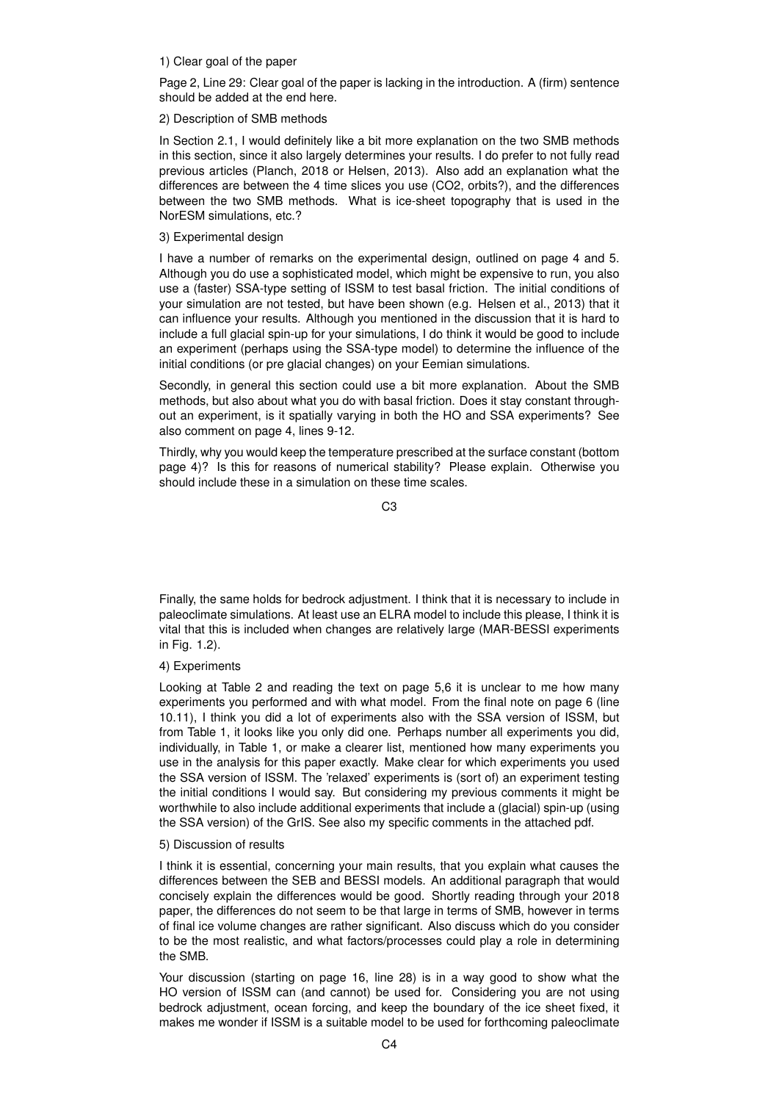### 1) Clear goal of the paper

Page 2, Line 29: Clear goal of the paper is lacking in the introduction. A (firm) sentence should be added at the end here.

### 2) Description of SMB methods

In Section 2.1, I would definitely like a bit more explanation on the two SMB methods in this section, since it also largely determines your results. I do prefer to not fully read previous articles (Planch, 2018 or Helsen, 2013). Also add an explanation what the differences are between the 4 time slices you use (CO2, orbits?), and the differences between the two SMB methods. What is ice-sheet topography that is used in the NorESM simulations, etc.?

### 3) Experimental design

I have a number of remarks on the experimental design, outlined on page 4 and 5. Although you do use a sophisticated model, which might be expensive to run, you also use a (faster) SSA-type setting of ISSM to test basal friction. The initial conditions of your simulation are not tested, but have been shown (e.g. Helsen et al., 2013) that it can influence your results. Although you mentioned in the discussion that it is hard to include a full glacial spin-up for your simulations, I do think it would be good to include an experiment (perhaps using the SSA-type model) to determine the influence of the initial conditions (or pre glacial changes) on your Eemian simulations.

Secondly, in general this section could use a bit more explanation. About the SMB methods, but also about what you do with basal friction. Does it stay constant throughout an experiment, is it spatially varying in both the HO and SSA experiments? See also comment on page 4, lines 9-12.

Thirdly, why you would keep the temperature prescribed at the surface constant (bottom page 4)? Is this for reasons of numerical stability? Please explain. Otherwise you should include these in a simulation on these time scales.

 $C3$ 

Finally, the same holds for bedrock adjustment. I think that it is necessary to include in paleoclimate simulations. At least use an ELRA model to include this please, I think it is vital that this is included when changes are relatively large (MAR-BESSI experiments in Fig. 1.2).

## 4) Experiments

Looking at Table 2 and reading the text on page 5,6 it is unclear to me how many experiments you performed and with what model. From the final note on page 6 (line 10.11), I think you did a lot of experiments also with the SSA version of ISSM, but from Table 1, it looks like you only did one. Perhaps number all experiments you did, individually, in Table 1, or make a clearer list, mentioned how many experiments you use in the analysis for this paper exactly. Make clear for which experiments you used the SSA version of ISSM. The 'relaxed' experiments is (sort of) an experiment testing the initial conditions I would say. But considering my previous comments it might be worthwhile to also include additional experiments that include a (glacial) spin-up (using the SSA version) of the GrIS. See also my specific comments in the attached pdf.

#### 5) Discussion of results

I think it is essential, concerning your main results, that you explain what causes the differences between the SEB and BESSI models. An additional paragraph that would concisely explain the differences would be good. Shortly reading through your 2018 paper, the differences do not seem to be that large in terms of SMB, however in terms of final ice volume changes are rather significant. Also discuss which do you consider to be the most realistic, and what factors/processes could play a role in determining the SMB.

Your discussion (starting on page 16, line 28) is in a way good to show what the HO version of ISSM can (and cannot) be used for. Considering you are not using bedrock adjustment, ocean forcing, and keep the boundary of the ice sheet fixed, it makes me wonder if ISSM is a suitable model to be used for forthcoming paleoclimate